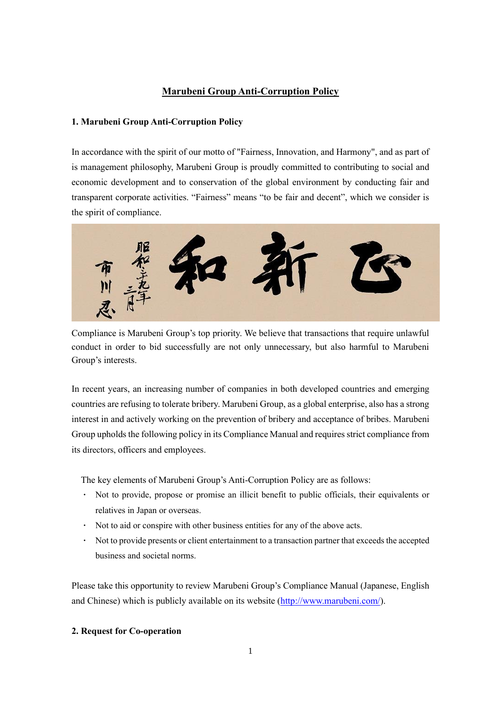### **Marubeni Group Anti-Corruption Policy**

### **1. Marubeni Group Anti-Corruption Policy**

In accordance with the spirit of our motto of "Fairness, Innovation, and Harmony", and as part of is management philosophy, Marubeni Group is proudly committed to contributing to social and economic development and to conservation of the global environment by conducting fair and transparent corporate activities. "Fairness" means "to be fair and decent", which we consider is the spirit of compliance.



Compliance is Marubeni Group's top priority. We believe that transactions that require unlawful conduct in order to bid successfully are not only unnecessary, but also harmful to Marubeni Group's interests.

In recent years, an increasing number of companies in both developed countries and emerging countries are refusing to tolerate bribery. Marubeni Group, as a global enterprise, also has a strong interest in and actively working on the prevention of bribery and acceptance of bribes. Marubeni Group upholds the following policy in its Compliance Manual and requires strict compliance from its directors, officers and employees.

The key elements of Marubeni Group's Anti-Corruption Policy are as follows:

- **·** Not to provide, propose or promise an illicit benefit to public officials, their equivalents or relatives in Japan or overseas.
- **·** Not to aid or conspire with other business entities for any of the above acts.
- **·** Not to provide presents or client entertainment to a transaction partner that exceeds the accepted business and societal norms.

Please take this opportunity to review Marubeni Group's Compliance Manual (Japanese, English and Chinese) which is publicly available on its website [\(http://www.marubeni.com/\)](http://www.marubeni.com/).

### **2. Request for Co-operation**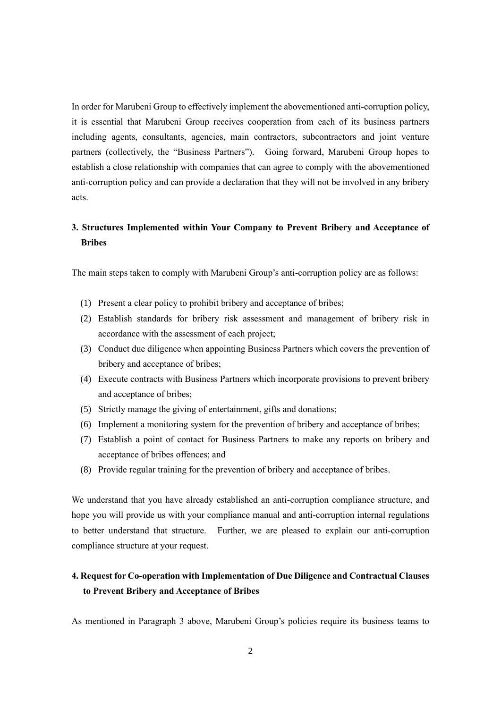In order for Marubeni Group to effectively implement the abovementioned anti-corruption policy, it is essential that Marubeni Group receives cooperation from each of its business partners including agents, consultants, agencies, main contractors, subcontractors and joint venture partners (collectively, the "Business Partners"). Going forward, Marubeni Group hopes to establish a close relationship with companies that can agree to comply with the abovementioned anti-corruption policy and can provide a declaration that they will not be involved in any bribery acts.

# **3. Structures Implemented within Your Company to Prevent Bribery and Acceptance of Bribes**

The main steps taken to comply with Marubeni Group's anti-corruption policy are as follows:

- (1) Present a clear policy to prohibit bribery and acceptance of bribes;
- (2) Establish standards for bribery risk assessment and management of bribery risk in accordance with the assessment of each project;
- (3) Conduct due diligence when appointing Business Partners which covers the prevention of bribery and acceptance of bribes;
- (4) Execute contracts with Business Partners which incorporate provisions to prevent bribery and acceptance of bribes;
- (5) Strictly manage the giving of entertainment, gifts and donations;
- (6) Implement a monitoring system for the prevention of bribery and acceptance of bribes;
- (7) Establish a point of contact for Business Partners to make any reports on bribery and acceptance of bribes offences; and
- (8) Provide regular training for the prevention of bribery and acceptance of bribes.

We understand that you have already established an anti-corruption compliance structure, and hope you will provide us with your compliance manual and anti-corruption internal regulations to better understand that structure. Further, we are pleased to explain our anti-corruption compliance structure at your request.

## **4. Request for Co-operation with Implementation of Due Diligence and Contractual Clauses to Prevent Bribery and Acceptance of Bribes**

As mentioned in Paragraph 3 above, Marubeni Group's policies require its business teams to